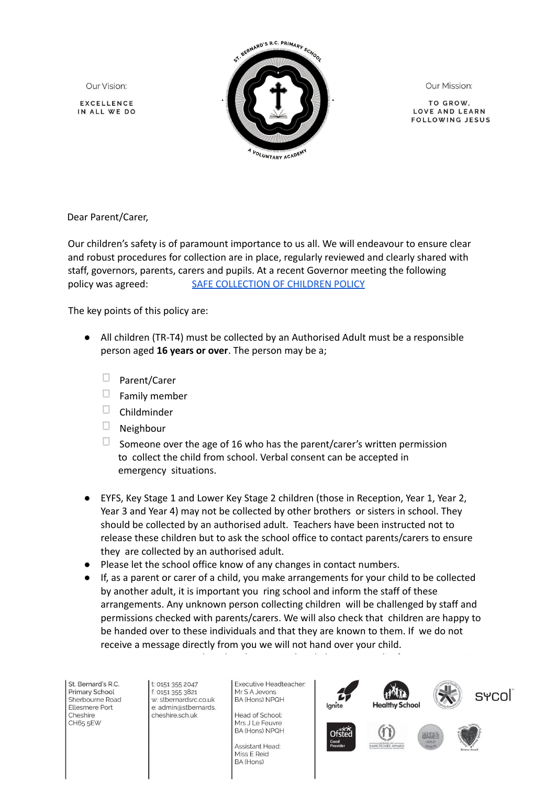Our Vision:

**EXCELLENCE** IN ALL WE DO



Our Mission:

TO GROW LOVE AND LEARN **FOLLOWING JESUS** 

Dear Parent/Carer,

Our children's safety is of paramount importance to us all. We will endeavour to ensure clear and robust procedures for collection are in place, regularly reviewed and clearly shared with staff, governors, parents, carers and pupils. At a recent Governor meeting the following policy was agreed: SAFE [COLLECTION](https://www.stbernardsrc.co.uk/attachments/download.asp?file=350&type=pdfHLMigUBT1rx5O-ft-9mreQYf5sCbWhIrXb0/edit) OF CHILDREN POLICY

The key points of this policy are:

- All children (TR-T4) must be collected by an Authorised Adult must be a responsible person aged **16 years or over**. The person may be a;
	- $\Box$  Parent/Carer
	- $\Box$ Family member
	- $\Box$  Childminder
	- $\Box$ Neighbour
	- $\Box$  Someone over the age of 16 who has the parent/carer's written permission to collect the child from school. Verbal consent can be accepted in emergency situations.
- EYFS, Key Stage 1 and Lower Key Stage 2 children (those in Reception, Year 1, Year 2, Year 3 and Year 4) may not be collected by other brothers or sisters in school. They should be collected by an authorised adult. Teachers have been instructed not to release these children but to ask the school office to contact parents/carers to ensure they are collected by an authorised adult.
- Please let the school office know of any changes in contact numbers.
- If, as a parent or carer of a child, you make arrangements for your child to be collected by another adult, it is important you ring school and inform the staff of these arrangements. Any unknown person collecting children will be challenged by staff and permissions checked with parents/carers. We will also check that children are happy to be handed over to these individuals and that they are known to them. If we do not receive a message directly from you we will not hand over your child.

● Parents must ensure that they have completed the consent slip for Upper Key Stage

Cheshire CH65 5EW cheshire.sch.uk

Head of School: Mrs J Le Feuvre **BA (Hons) NPQH** 

Assistant Head: Miss E Reid BA (Hons)